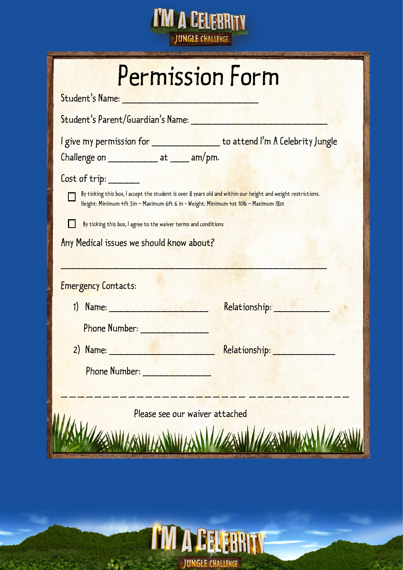

| Permission Form<br>Student's Name: New York Student's Name:                                                                                                                                                                                                                                                                          |
|--------------------------------------------------------------------------------------------------------------------------------------------------------------------------------------------------------------------------------------------------------------------------------------------------------------------------------------|
| Student's Parent/Guardian's Name: New York New York 1989                                                                                                                                                                                                                                                                             |
| I give my permission for __________________ to attend I'm A Celebrity Jungle<br>Challenge on _________________ at ______ am/pm.                                                                                                                                                                                                      |
| Cost of trip:<br>By ticking this box, I accept the student is over 8 years old and within our height and weight restrictions.<br>Height: Minimum 4ft 5in - Maximum 6ft 6 in - Weight: Minimum 4st 10lb - Maximum 18st<br>By ticking this box, I agree to the waiver terms and conditions<br>Any Medical issues we should know about? |
| <b>Emergency Contacts:</b>                                                                                                                                                                                                                                                                                                           |
| 1) Name: 1                                                                                                                                                                                                                                                                                                                           |
| Phone Number:                                                                                                                                                                                                                                                                                                                        |
| Relationship:<br>2) Name:                                                                                                                                                                                                                                                                                                            |
| <b>Phone Number:</b>                                                                                                                                                                                                                                                                                                                 |
| Please see our waiver attached                                                                                                                                                                                                                                                                                                       |